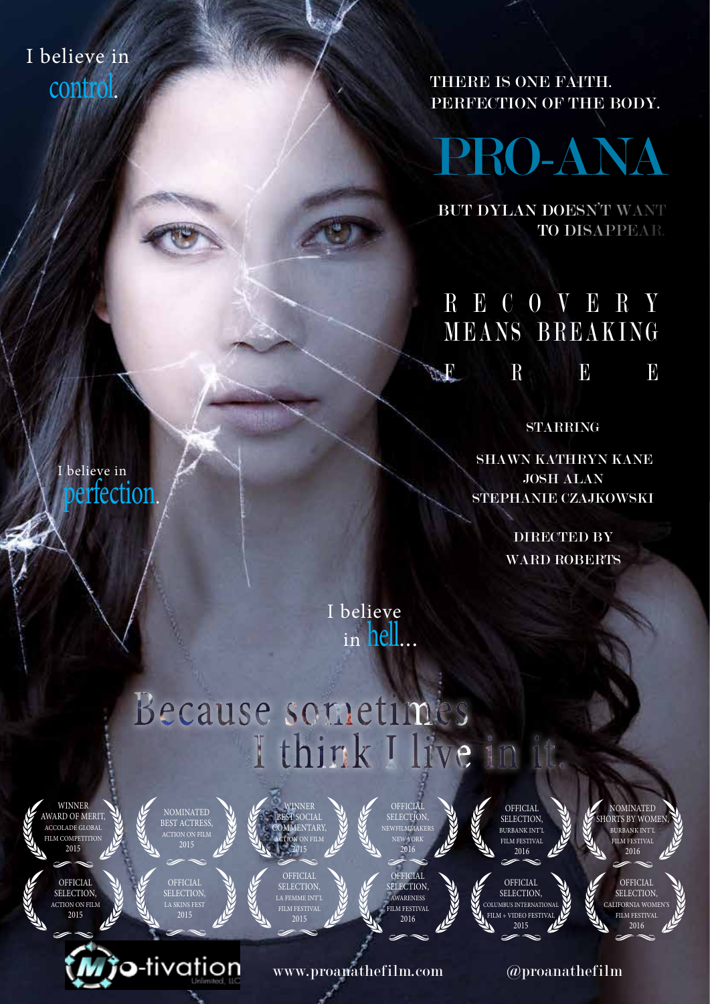I believe in control.

THERE IS ONE FAITH. PERFECTION OF THE BODY.

PRO-ANA

BUT DYLAN DOESN'T WANT TO DISAPPEAR.

### R E C O V E R Y MEANS BREAKING  $\mathbf{F}$   $\mathbf{F}$   $\mathbf{F}$

STARRING

STEPHANIE CZAJKOWSKI JOSH ALAN SHAWN KATHRYN KANE

> DIRECTED BY WARD ROBERTS

I believe in hell...

# Because sometimes I think I live in it.



2015

OFFICIAL SELECTION, ACTION ON FILM

believe in

perfection.



LA SKINS FEST 2015

o-tivation

NOMINATED

2015 **OFFICIAL** SELECTION, LA FEMME INT'L FILM FESTIVAL 2015

WINNER BEST SOCIAL **OMMENTARY** ACTION ON FILM



www.proanathefilm.com

SELECTION, NET STORES NEW YORK **OFFICIAL** 

SELECTION, AWARENESS FILM FESTIVAL 2016



NOMINATED SHORTS BY WOMEN, BURBANK INT'L FILM FESTIVAL 2016

> FILM FESTIVAL 2016





@proanathefilm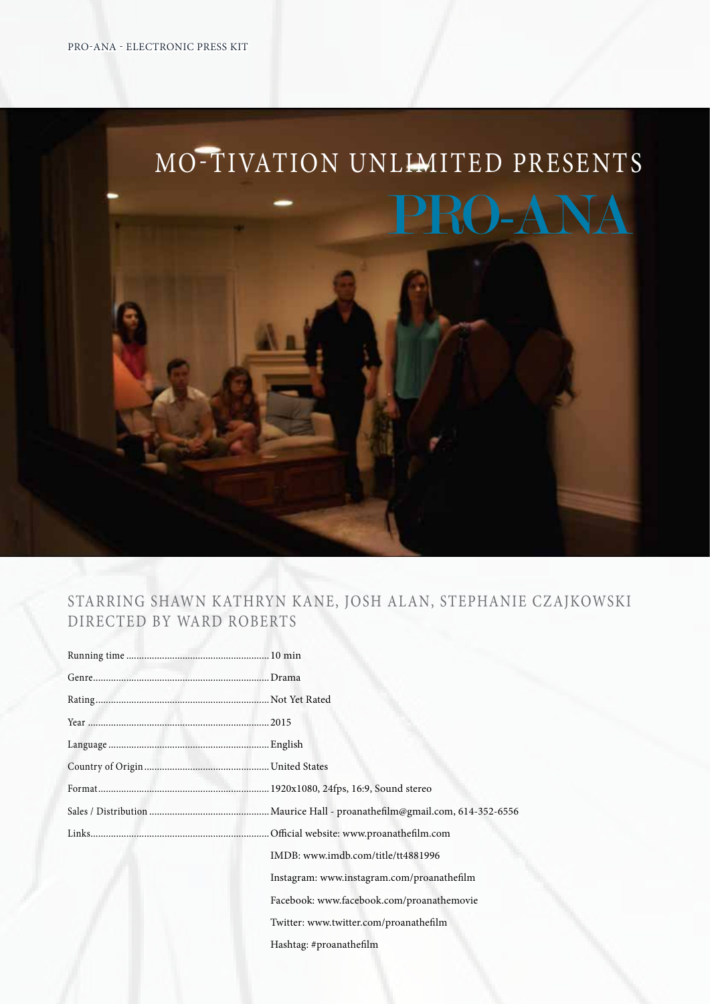# MO-TIVATION UNLIMITED PRESENTS PRO-ANA

#### STARRING SHAWN KATHRYN KANE, JOSH ALAN, STEPHANIE CZAJKOWSKI DIRECTED BY WARD ROBERTS

|  | IMDB: www.imdb.com/title/tt4881996         |
|--|--------------------------------------------|
|  | Instagram: www.instagram.com/proanathefilm |
|  | Facebook: www.facebook.com/proanathemovie  |
|  | Twitter: www.twitter.com/proanathefilm     |
|  | Hashtag: #proanathefilm                    |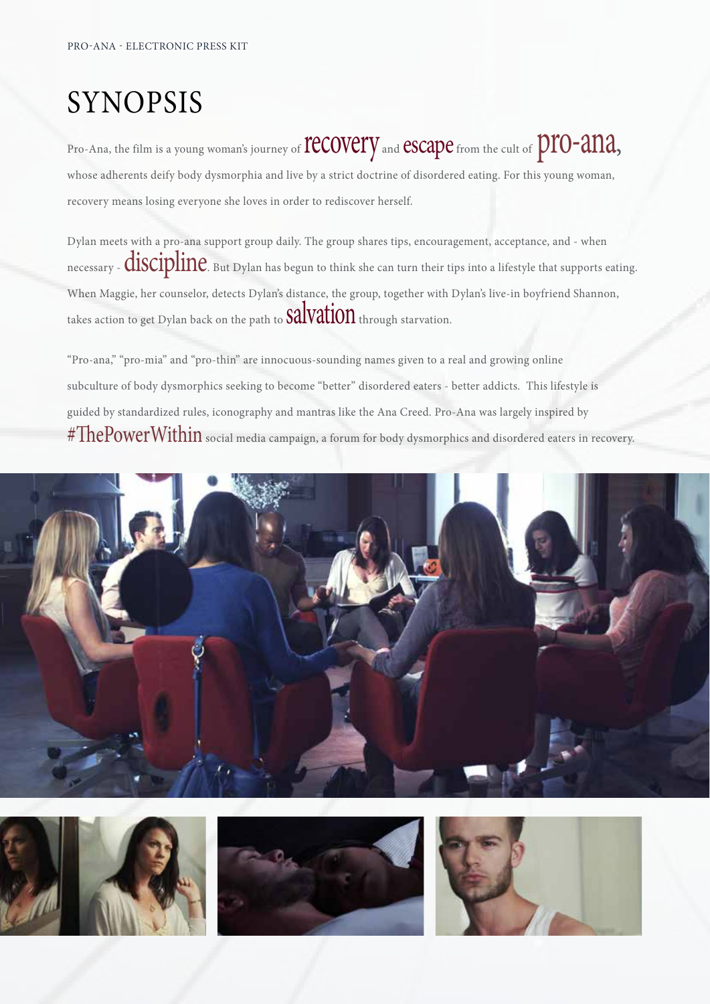# SYNOPSIS

Pro-Ana, the film is a young woman's journey of **TCCOVETY** and **CSCAPC** from the cult of **DTO-ana**, whose adherents deify body dysmorphia and live by a strict doctrine of disordered eating. For this young woman, recovery means losing everyone she loves in order to rediscover herself.

Dylan meets with a pro-ana support group daily. The group shares tips, encouragement, acceptance, and - when necessary - **discipline**. But Dylan has begun to think she can turn their tips into a lifestyle that supports eating. When Maggie, her counselor, detects Dylan's distance, the group, together with Dylan's live-in boyfriend Shannon, takes action to get Dylan back on the path to  $\text{SalVation}$  through starvation.

"Pro-ana," "pro-mia" and "pro-thin" are innocuous-sounding names given to a real and growing online subculture of body dysmorphics seeking to become "better" disordered eaters - better addicts. This lifestyle is guided by standardized rules, iconography and mantras like the Ana Creed. Pro-Ana was largely inspired by  $\text{\#ThePowerWithin}$  social media campaign, a forum for body dysmorphics and disordered eaters in recovery.



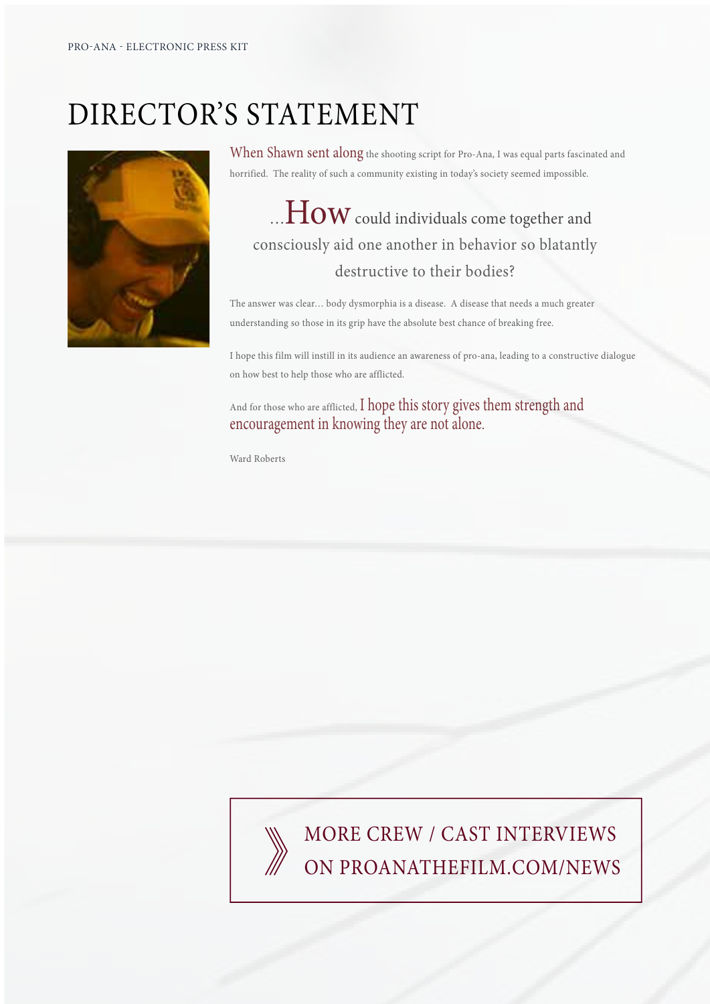# DIRECTOR'S STATEMENT



When Shawn sent along the shooting script for Pro-Ana, I was equal parts fascinated and horrified. The reality of such a community existing in today's society seemed impossible.

### $\ldots$   $\rm{How}$  could individuals come together and consciously aid one another in behavior so blatantly destructive to their bodies?

The answer was clear... body dysmorphia is a disease. A disease that needs a much greater understanding so those in its grip have the absolute best chance of breaking free.

I hope this film will instill in its audience an awareness of pro-ana, leading to a constructive dialogue on how best to help those who are afflicted.

And for those who are afflicted, I hope this story gives them strength and encouragement in knowing they are not alone.

Ward Roberts

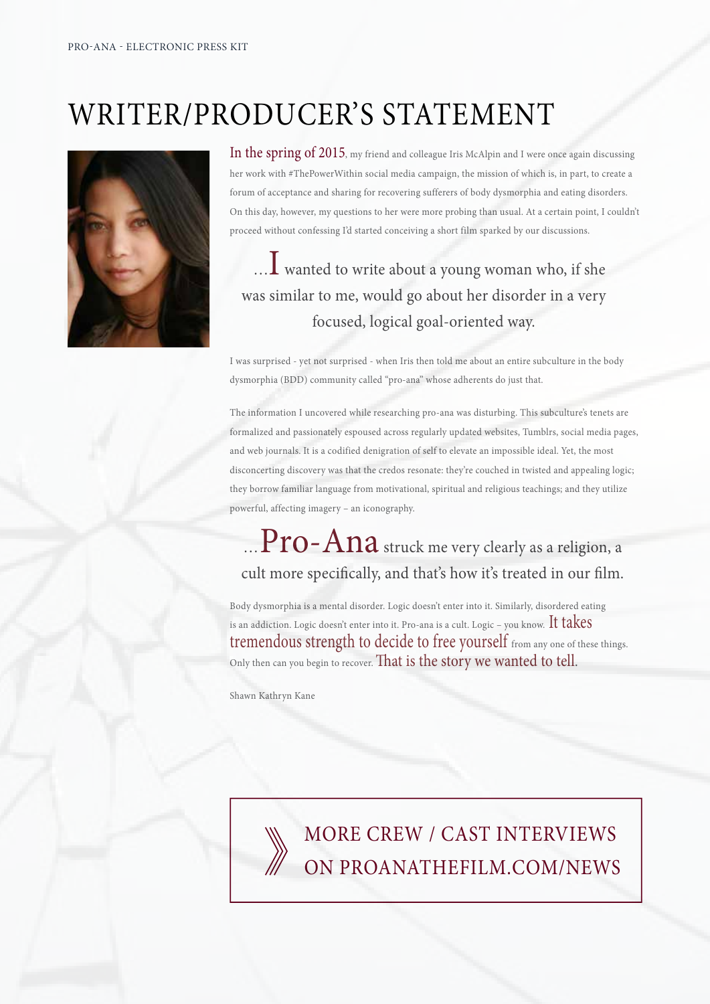# WRITER/PRODUCER'S STATEMENT



In the spring of 2015, my friend and colleague Iris McAlpin and I were once again discussing her work with #ThePowerWithin social media campaign, the mission of which is, in part, to create a forum of acceptance and sharing for recovering sufferers of body dysmorphia and eating disorders. On this day, however, my questions to her were more probing than usual. At a certain point, I couldn't proceed without confessing I'd started conceiving a short film sparked by our discussions.

### ... I wanted to write about a young woman who, if she was similar to me, would go about her disorder in a very focused, logical goal-oriented way.

I was surprised - yet not surprised - when Iris then told me about an entire subculture in the body dysmorphia (BDD) community called "pro-ana" whose adherents do just that.

The information I uncovered while researching pro-ana was disturbing. This subculture's tenets are formalized and passionately espoused across regularly updated websites, Tumblrs, social media pages, and web journals. It is a codified denigration of self to elevate an impossible ideal. Yet, the most disconcerting discovery was that the credos resonate: they're couched in twisted and appealing logic; they borrow familiar language from motivational, spiritual and religious teachings; and they utilize powerful, affecting imagery - an iconography.

### $\mathbf{P} \mathbf{r}$ **O –**  $\mathbf{A} \mathbf{n}$ **a** struck me very clearly as a religion, a cult more specifically, and that's how it's treated in our film.

Body dysmorphia is a mental disorder. Logic doesn't enter into it. Similarly, disordered eating is an addiction. Logic doesn't enter into it. Pro-ana is a cult. Logic – you know. It takes tremendous strength to decide to free yourself from any one of these things. Only then can you begin to recover. That is the story we wanted to tell.

Shawn Kathryn Kane

MORE CREW / CAST INTERVIEWS ON PROANATHEFILM.COM/NEWS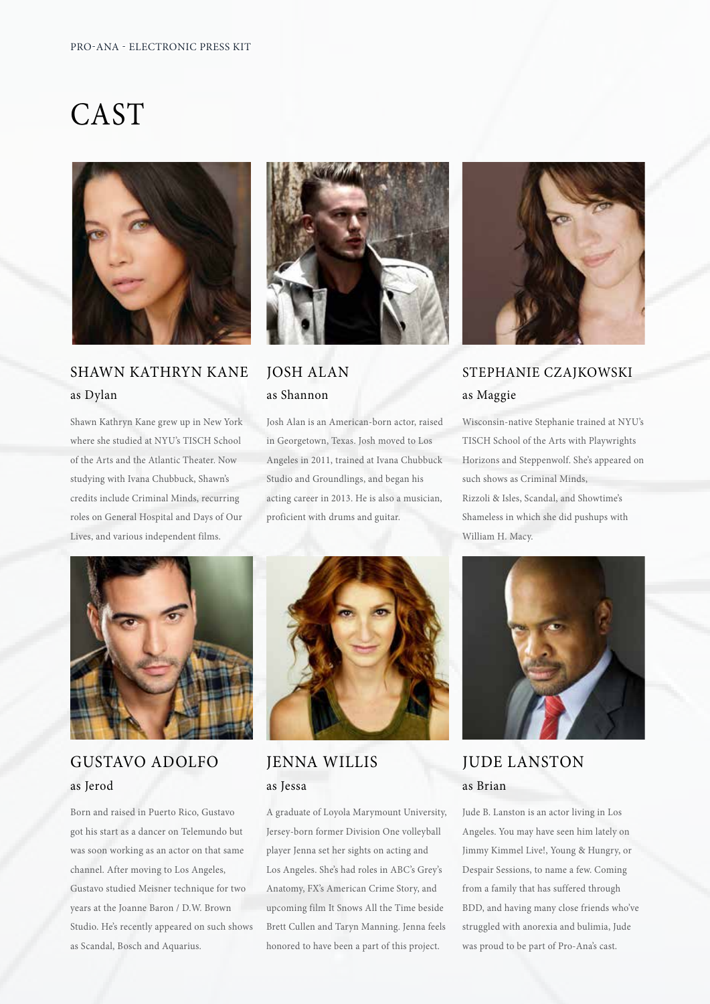### CAST



#### **SHAWN KATHRYN KANE** as Dylan

Shawn Kathryn Kane grew up in New York where she studied at NYU's TISCH School of the Arts and the Atlantic Theater. Now studying with Ivana Chubbuck, Shawn's credits include Criminal Minds, recurring roles on General Hospital and Days of Our Lives, and various independent films.



#### **JOSH ALAN** as Shannon

Josh Alan is an American-born actor, raised in Georgetown, Texas. Josh moved to Los Angeles in 2011, trained at Ivana Chubbuck Studio and Groundlings, and began his acting career in 2013. He is also a musician, proficient with drums and guitar.



#### STEPHANIE CZAJKOWSKI as Maggie

Wisconsin-native Stephanie trained at NYU's TISCH School of the Arts with Playwrights Horizons and Steppenwolf. She's appeared on such shows as Criminal Minds. Rizzoli & Isles, Scandal, and Showtime's Shameless in which she did pushups with William H. Macy.



#### **GUSTAVO ADOLFO** as Jerod

Born and raised in Puerto Rico, Gustavo got his start as a dancer on Telemundo but was soon working as an actor on that same channel. After moving to Los Angeles, Gustavo studied Meisner technique for two years at the Joanne Baron / D.W. Brown Studio. He's recently appeared on such shows as Scandal, Bosch and Aquarius.



#### **JENNA WILLIS** as Jessa

A graduate of Loyola Marymount University, Jersey-born former Division One volleyball player Jenna set her sights on acting and Los Angeles. She's had roles in ABC's Grey's Anatomy, FX's American Crime Story, and upcoming film It Snows All the Time beside Brett Cullen and Taryn Manning. Jenna feels honored to have been a part of this project.



**JUDE LANSTON** as Brian

Jude B. Lanston is an actor living in Los Angeles. You may have seen him lately on Jimmy Kimmel Live!, Young & Hungry, or Despair Sessions, to name a few. Coming from a family that has suffered through BDD, and having many close friends who've struggled with anorexia and bulimia, Jude was proud to be part of Pro-Ana's cast.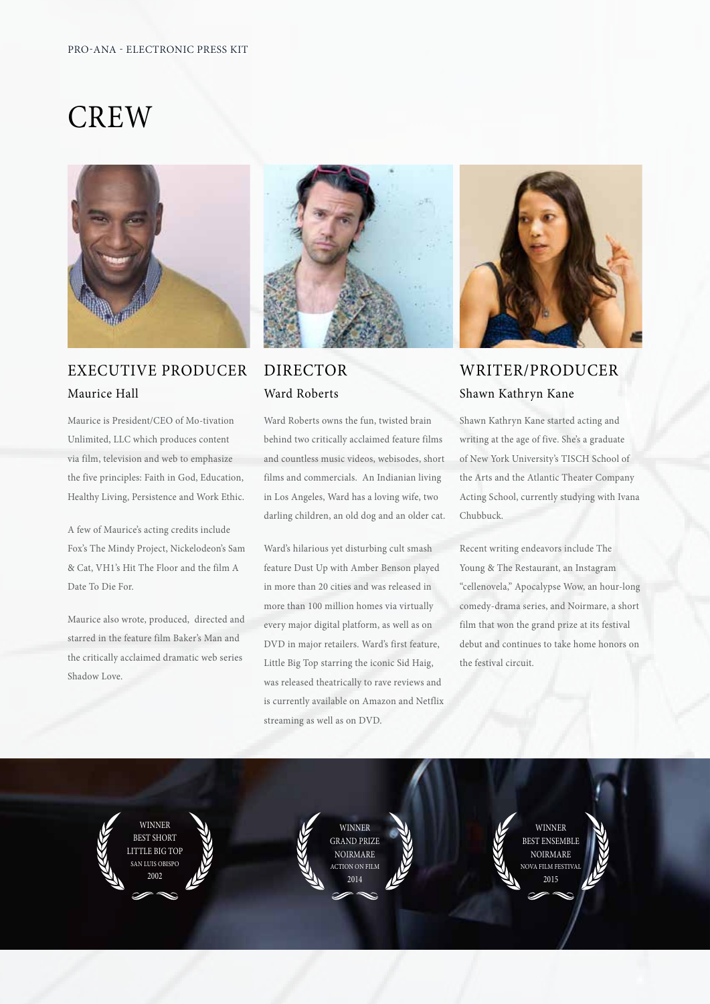### **CREW**



#### **EXECUTIVE PRODUCER** Maurice Hall

Maurice is President/CEO of Mo-tivation Unlimited, LLC which produces content via film, television and web to emphasize the five principles: Faith in God, Education, Healthy Living, Persistence and Work Ethic.

A few of Maurice's acting credits include Fox's The Mindy Project, Nickelodeon's Sam & Cat, VH1's Hit The Floor and the film A Date To Die For.

Maurice also wrote, produced, directed and starred in the feature film Baker's Man and the critically acclaimed dramatic web series Shadow Love.



#### **DIRECTOR** Ward Roberts

Ward Roberts owns the fun, twisted brain behind two critically acclaimed feature films and countless music videos, webisodes, short films and commercials. An Indianian living in Los Angeles, Ward has a loving wife, two darling children, an old dog and an older cat.

Ward's hilarious yet disturbing cult smash feature Dust Up with Amber Benson played in more than 20 cities and was released in more than 100 million homes via virtually every major digital platform, as well as on DVD in major retailers. Ward's first feature, Little Big Top starring the iconic Sid Haig, was released theatrically to rave reviews and is currently available on Amazon and Netflix streaming as well as on DVD.



#### WRITER/PRODUCER Shawn Kathryn Kane

Shawn Kathryn Kane started acting and writing at the age of five. She's a graduate of New York University's TISCH School of the Arts and the Atlantic Theater Company Acting School, currently studying with Ivana Chubbuck.

Recent writing endeavors include The Young & The Restaurant, an Instagram "cellenovela," Apocalypse Wow, an hour-long comedy-drama series, and Noirmare, a short film that won the grand prize at its festival debut and continues to take home honors on the festival circuit.

**WINNER BEST SHORT** LITTLE BIG TOP AN LUIS OBISPO

WINNER **GRAND PRIZE NOIRMARE TION ON FILM** 

WINNER **BEST ENSEMBLE** NOIRMARE .<br>DVA FILM FESTIVA  $2015$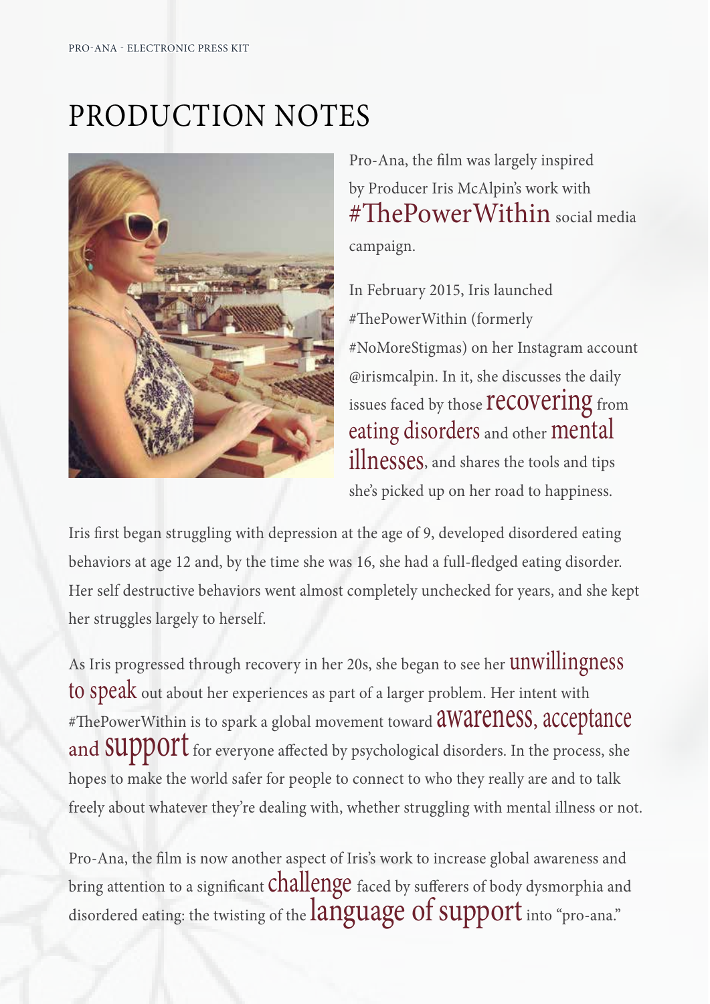# PRODUCTION NOTES



Pro-Ana, the film was largely inspired by Producer Iris McAlpin's work with #ThePowerWithin social media campaign.

In February 2015, Iris launched #ThePowerWithin (formerly #NoMoreStigmas) on her Instagram account @irismcalpin. In it, she discusses the daily issues faced by those **recovering** from eating disorders and other mental illnesses, and shares the tools and tips she's picked up on her road to happiness.

Iris first began struggling with depression at the age of 9, developed disordered eating behaviors at age 12 and, by the time she was 16, she had a full-fledged eating disorder. Her self destructive behaviors went almost completely unchecked for years, and she kept her struggles largely to herself.

As Iris progressed through recovery in her 20s, she began to see her **unwillingness** to speak out about her experiences as part of a larger problem. Her intent with #ThePowerWithin is to spark a global movement toward **aWareness**, acceptance and SUPPOIT for everyone affected by psychological disorders. In the process, she hopes to make the world safer for people to connect to who they really are and to talk freely about whatever they're dealing with, whether struggling with mental illness or not.

Pro-Ana, the film is now another aspect of Iris's work to increase global awareness and bring attention to a significant challenge faced by sufferers of body dysmorphia and disordered eating: the twisting of the language of support into "pro-ana."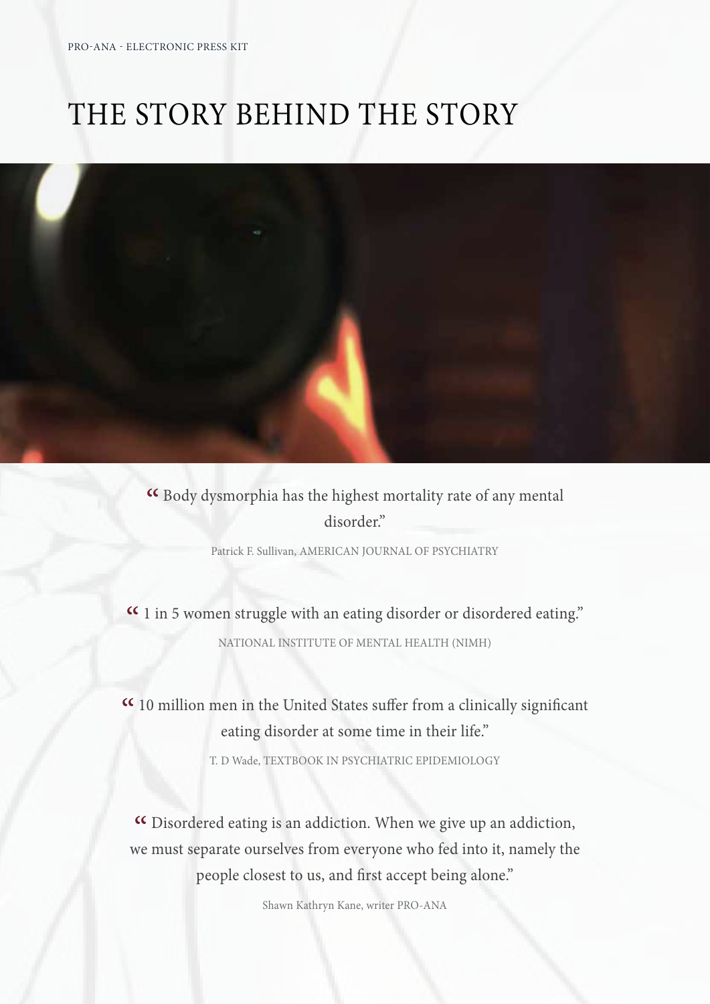### THE STORY BEHIND THE STORY



« Body dysmorphia has the highest mortality rate of any mental disorder."

Patrick F. Sullivan, AMERICAN JOURNAL OF PSYCHIATRY

« 1 in 5 women struggle with an eating disorder or disordered eating." NATIONAL INSTITUTE OF MENTAL HEALTH (NIMH)

« 10 million men in the United States suffer from a clinically significant eating disorder at some time in their life."

T. D Wade, TEXTBOOK IN PSYCHIATRIC EPIDEMIOLOGY

« Disordered eating is an addiction. When we give up an addiction, we must separate ourselves from everyone who fed into it, namely the people closest to us, and first accept being alone."

Shawn Kathryn Kane, writer PRO-ANA